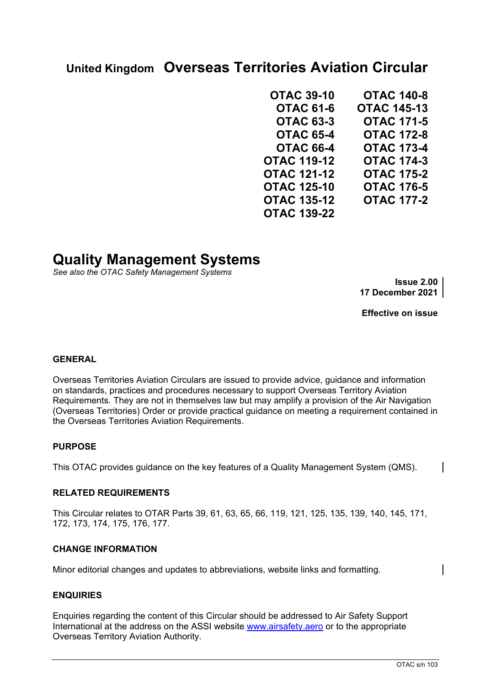# **United Kingdom Overseas Territories Aviation Circular**

| <b>OTAC 39-10</b>  | <b>OTAC 140-8</b>  |
|--------------------|--------------------|
| <b>OTAC 61-6</b>   | <b>OTAC 145-13</b> |
| <b>OTAC 63-3</b>   | <b>OTAC 171-5</b>  |
| <b>OTAC 65-4</b>   | <b>OTAC 172-8</b>  |
| <b>OTAC 66-4</b>   | <b>OTAC 173-4</b>  |
| <b>OTAC 119-12</b> | <b>OTAC 174-3</b>  |
| <b>OTAC 121-12</b> | <b>OTAC 175-2</b>  |
| <b>OTAC 125-10</b> | <b>OTAC 176-5</b>  |
| <b>OTAC 135-12</b> | <b>OTAC 177-2</b>  |
| <b>OTAC 139-22</b> |                    |

# **Quality Management Systems**

*See also the OTAC Safety Management Systems*

**Issue 2.00 17 December 2021**

**Effective on issue**

#### **GENERAL**

Overseas Territories Aviation Circulars are issued to provide advice, guidance and information on standards, practices and procedures necessary to support Overseas Territory Aviation Requirements. They are not in themselves law but may amplify a provision of the Air Navigation (Overseas Territories) Order or provide practical guidance on meeting a requirement contained in the Overseas Territories Aviation Requirements.

#### **PURPOSE**

This OTAC provides guidance on the key features of a Quality Management System (QMS).

#### **RELATED REQUIREMENTS**

This Circular relates to OTAR Parts 39, 61, 63, 65, 66, 119, 121, 125, 135, 139, 140, 145, 171, 172, 173, 174, 175, 176, 177.

#### **CHANGE INFORMATION**

Minor editorial changes and updates to abbreviations, website links and formatting.

#### **ENQUIRIES**

Enquiries regarding the content of this Circular should be addressed to Air Safety Support International at the address on the ASSI website [www.airsafety.aero](http://www.airsafety.aero/) or to the appropriate Overseas Territory Aviation Authority.

 $\mathbf I$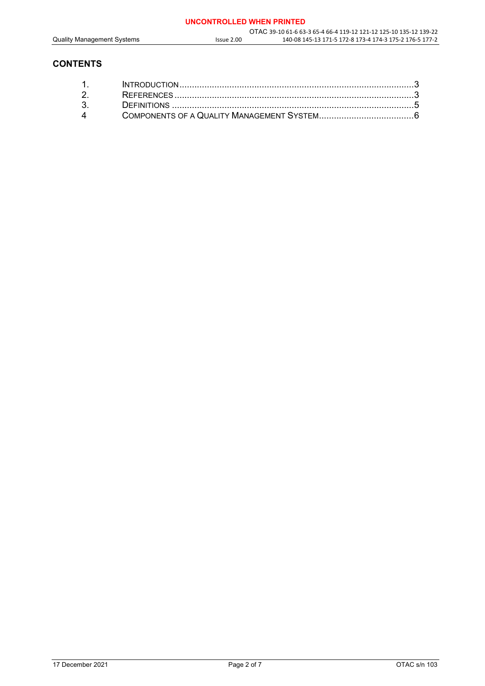## **CONTENTS**

| $\mathbf{\Delta}$ |  |
|-------------------|--|
|                   |  |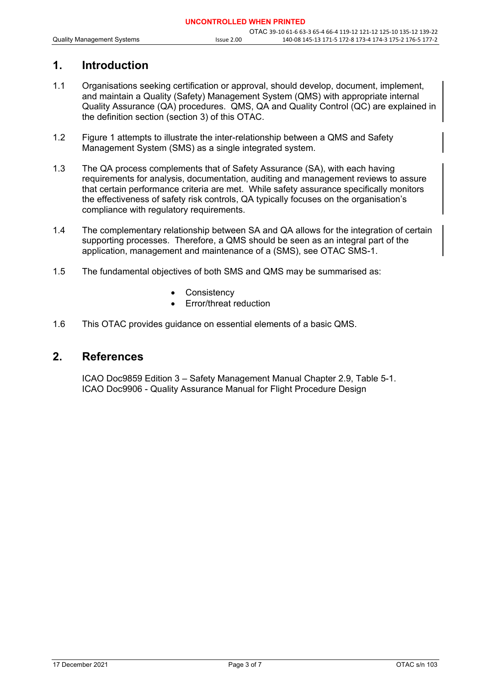# **1. Introduction**

- 1.1 Organisations seeking certification or approval, should develop, document, implement, and maintain a Quality (Safety) Management System (QMS) with appropriate internal Quality Assurance (QA) procedures. QMS, QA and Quality Control (QC) are explained in the definition section (section 3) of this OTAC.
- 1.2 Figure 1 attempts to illustrate the inter-relationship between a QMS and Safety Management System (SMS) as a single integrated system.
- 1.3 The QA process complements that of Safety Assurance (SA), with each having requirements for analysis, documentation, auditing and management reviews to assure that certain performance criteria are met. While safety assurance specifically monitors the effectiveness of safety risk controls, QA typically focuses on the organisation's compliance with regulatory requirements.
- 1.4 The complementary relationship between SA and QA allows for the integration of certain supporting processes. Therefore, a QMS should be seen as an integral part of the application, management and maintenance of a (SMS), see OTAC SMS-1.
- 1.5 The fundamental objectives of both SMS and QMS may be summarised as:
	- **Consistency**
	- Error/threat reduction
- 1.6 This OTAC provides guidance on essential elements of a basic QMS.

## **2. References**

ICAO Doc9859 Edition 3 – Safety Management Manual Chapter 2.9, Table 5-1. ICAO Doc9906 - Quality Assurance Manual for Flight Procedure Design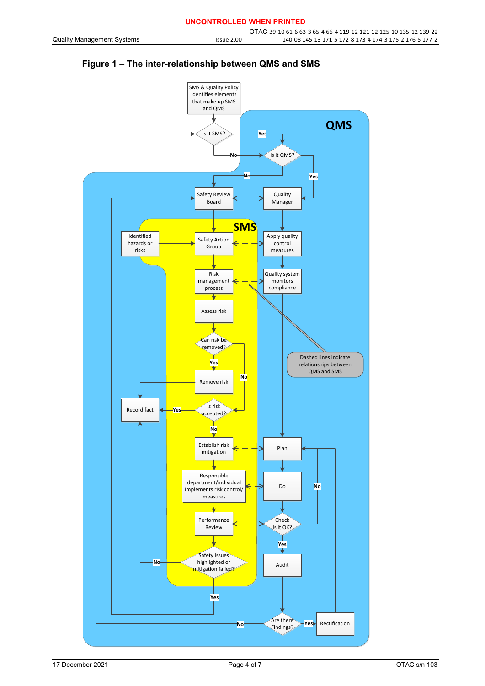

## **Figure 1 – The inter-relationship between QMS and SMS**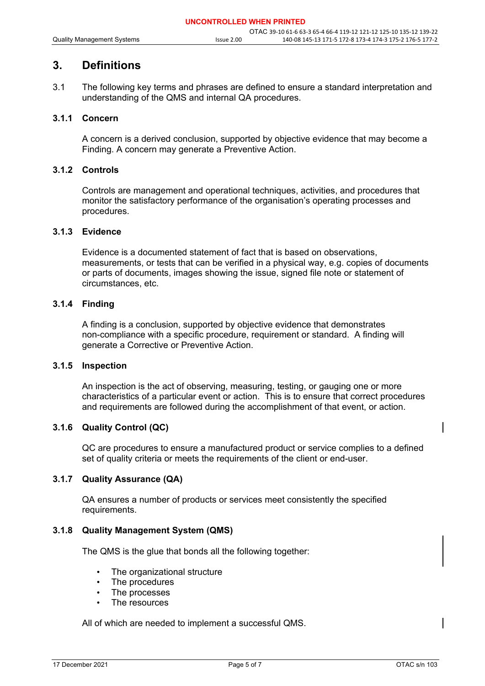# **3. Definitions**

3.1 The following key terms and phrases are defined to ensure a standard interpretation and understanding of the QMS and internal QA procedures.

#### **3.1.1 Concern**

A concern is a derived conclusion, supported by objective evidence that may become a Finding. A concern may generate a Preventive Action.

#### **3.1.2 Controls**

Controls are management and operational techniques, activities, and procedures that monitor the satisfactory performance of the organisation's operating processes and procedures.

#### **3.1.3 Evidence**

Evidence is a documented statement of fact that is based on observations, measurements, or tests that can be verified in a physical way, e.g. copies of documents or parts of documents, images showing the issue, signed file note or statement of circumstances, etc.

### **3.1.4 Finding**

A finding is a conclusion, supported by objective evidence that demonstrates non-compliance with a specific procedure, requirement or standard. A finding will generate a Corrective or Preventive Action.

#### **3.1.5 Inspection**

An inspection is the act of observing, measuring, testing, or gauging one or more characteristics of a particular event or action. This is to ensure that correct procedures and requirements are followed during the accomplishment of that event, or action.

#### **3.1.6 Quality Control (QC)**

QC are procedures to ensure a manufactured product or service complies to a defined set of quality criteria or meets the requirements of the client or end-user.

#### **3.1.7 Quality Assurance (QA)**

QA ensures a number of products or services meet consistently the specified requirements.

#### **3.1.8 Quality Management System (QMS)**

The QMS is the glue that bonds all the following together:

- The organizational structure
- The procedures
- The processes
- The resources

All of which are needed to implement a successful QMS.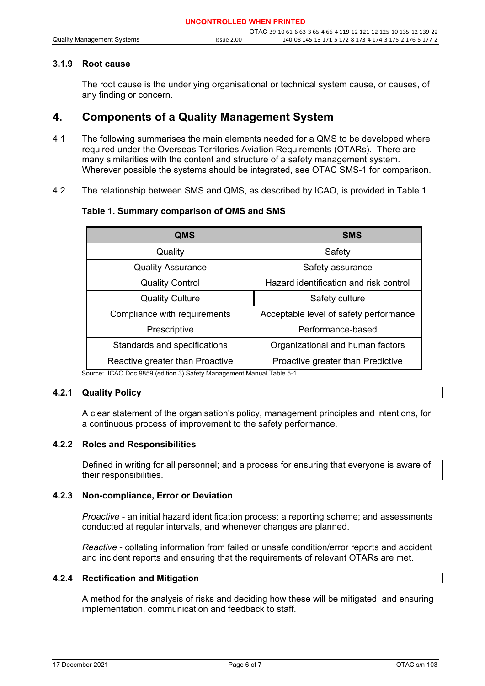#### **3.1.9 Root cause**

The root cause is the underlying organisational or technical system cause, or causes, of any finding or concern.

# **4. Components of a Quality Management System**

- 4.1 The following summarises the main elements needed for a QMS to be developed where required under the Overseas Territories Aviation Requirements (OTARs). There are many similarities with the content and structure of a safety management system. Wherever possible the systems should be integrated, see OTAC SMS-1 for comparison.
- 4.2 The relationship between SMS and QMS, as described by ICAO, is provided in Table 1.

#### **Table 1. Summary comparison of QMS and SMS**

| <b>QMS</b>                      | <b>SMS</b>                             |
|---------------------------------|----------------------------------------|
| Quality                         | Safety                                 |
| <b>Quality Assurance</b>        | Safety assurance                       |
| <b>Quality Control</b>          | Hazard identification and risk control |
| <b>Quality Culture</b>          | Safety culture                         |
| Compliance with requirements    | Acceptable level of safety performance |
| Prescriptive                    | Performance-based                      |
| Standards and specifications    | Organizational and human factors       |
| Reactive greater than Proactive | Proactive greater than Predictive      |

Source: ICAO Doc 9859 (edition 3) Safety Management Manual Table 5-1

#### **4.2.1 Quality Policy**

A clear statement of the organisation's policy, management principles and intentions, for a continuous process of improvement to the safety performance.

#### **4.2.2 Roles and Responsibilities**

Defined in writing for all personnel; and a process for ensuring that everyone is aware of their responsibilities.

#### **4.2.3 Non-compliance, Error or Deviation**

*Proactive* - an initial hazard identification process; a reporting scheme; and assessments conducted at regular intervals, and whenever changes are planned.

*Reactive* - collating information from failed or unsafe condition/error reports and accident and incident reports and ensuring that the requirements of relevant OTARs are met.

#### **4.2.4 Rectification and Mitigation**

A method for the analysis of risks and deciding how these will be mitigated; and ensuring implementation, communication and feedback to staff.